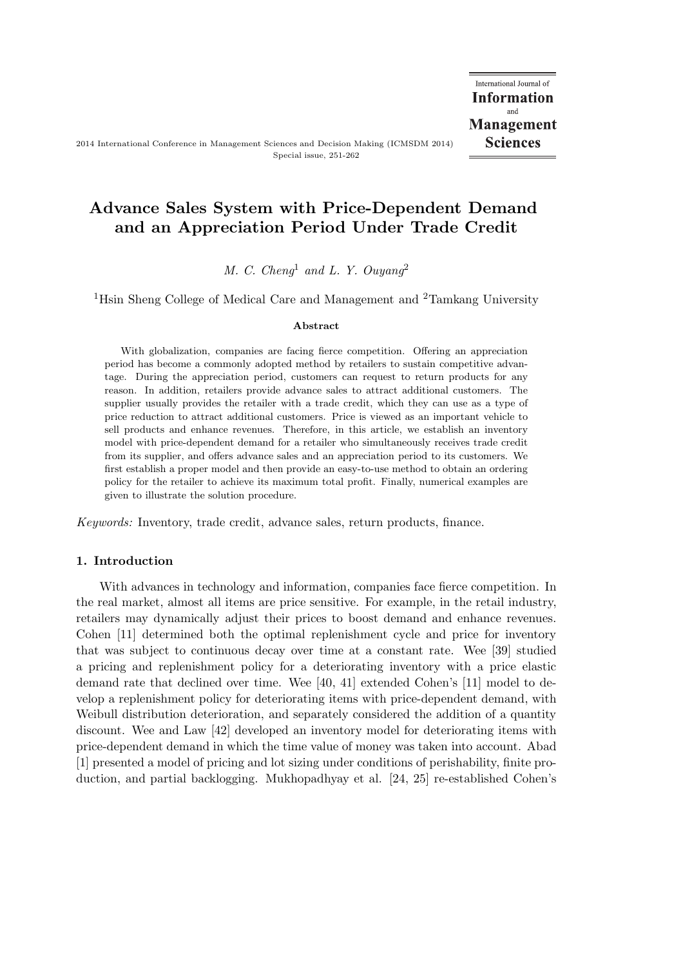# Advance Sales System with Price-Dependent Demand and an Appreciation Period Under Trade Credit

*M. C. Cheng*<sup>1</sup> *and L. Y. Ouyang*<sup>2</sup>

<sup>1</sup>Hsin Sheng College of Medical Care and Management and <sup>2</sup>Tamkang University

#### Abstract

With globalization, companies are facing fierce competition. Offering an appreciation period has become a commonly adopted method by retailers to sustain competitive advantage. During the appreciation period, customers can request to return products for any reason. In addition, retailers provide advance sales to attract additional customers. The supplier usually provides the retailer with a trade credit, which they can use as a type of price reduction to attract additional customers. Price is viewed as an important vehicle to sell products and enhance revenues. Therefore, in this article, we establish an inventory model with price-dependent demand for a retailer who simultaneously receives trade credit from its supplier, and offers advance sales and an appreciation period to its customers. We first establish a proper model and then provide an easy-to-use method to obtain an ordering policy for the retailer to achieve its maximum total profit. Finally, numerical examples are given to illustrate the solution procedure.

*Keywords:* Inventory, trade credit, advance sales, return products, finance.

## 1. Introduction

With advances in technology and information, companies face fierce competition. In the real market, almost all items are price sensitive. For example, in the retail industry, retailers may dynamically adjust their prices to boost demand and enhance revenues. Cohen [11] determined both the optimal replenishment cycle and price for inventory that was subject to continuous decay over time at a constant rate. Wee [39] studied a pricing and replenishment policy for a deteriorating inventory with a price elastic demand rate that declined over time. Wee [40, 41] extended Cohen's [11] model to develop a replenishment policy for deteriorating items with price-dependent demand, with Weibull distribution deterioration, and separately considered the addition of a quantity discount. Wee and Law [42] developed an inventory model for deteriorating items with price-dependent demand in which the time value of money was taken into account. Abad [1] presented a model of pricing and lot sizing under conditions of perishability, finite production, and partial backlogging. Mukhopadhyay et al. [24, 25] re-established Cohen's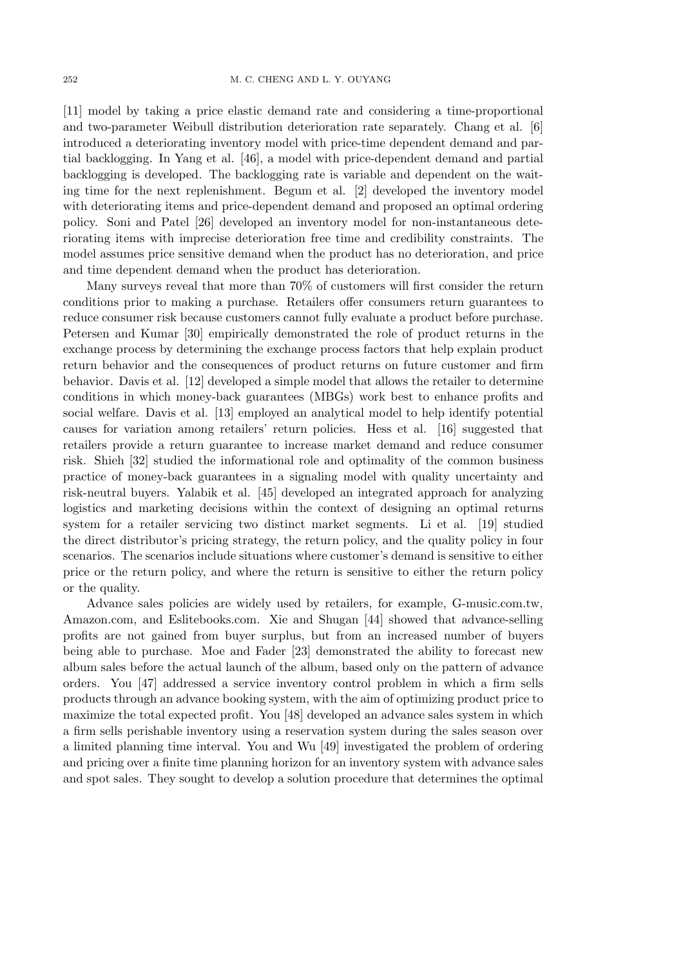[11] model by taking a price elastic demand rate and considering a time-proportional and two-parameter Weibull distribution deterioration rate separately. Chang et al. [6] introduced a deteriorating inventory model with price-time dependent demand and partial backlogging. In Yang et al. [46], a model with price-dependent demand and partial backlogging is developed. The backlogging rate is variable and dependent on the waiting time for the next replenishment. Begum et al. [2] developed the inventory model with deteriorating items and price-dependent demand and proposed an optimal ordering policy. Soni and Patel [26] developed an inventory model for non-instantaneous deteriorating items with imprecise deterioration free time and credibility constraints. The model assumes price sensitive demand when the product has no deterioration, and price and time dependent demand when the product has deterioration.

Many surveys reveal that more than 70% of customers will first consider the return conditions prior to making a purchase. Retailers offer consumers return guarantees to reduce consumer risk because customers cannot fully evaluate a product before purchase. Petersen and Kumar [30] empirically demonstrated the role of product returns in the exchange process by determining the exchange process factors that help explain product return behavior and the consequences of product returns on future customer and firm behavior. Davis et al. [12] developed a simple model that allows the retailer to determine conditions in which money-back guarantees (MBGs) work best to enhance profits and social welfare. Davis et al. [13] employed an analytical model to help identify potential causes for variation among retailers' return policies. Hess et al. [16] suggested that retailers provide a return guarantee to increase market demand and reduce consumer risk. Shieh [32] studied the informational role and optimality of the common business practice of money-back guarantees in a signaling model with quality uncertainty and risk-neutral buyers. Yalabik et al. [45] developed an integrated approach for analyzing logistics and marketing decisions within the context of designing an optimal returns system for a retailer servicing two distinct market segments. Li et al. [19] studied the direct distributor's pricing strategy, the return policy, and the quality policy in four scenarios. The scenarios include situations where customer's demand is sensitive to either price or the return policy, and where the return is sensitive to either the return policy or the quality.

Advance sales policies are widely used by retailers, for example, G-music.com.tw, Amazon.com, and Eslitebooks.com. Xie and Shugan [44] showed that advance-selling profits are not gained from buyer surplus, but from an increased number of buyers being able to purchase. Moe and Fader [23] demonstrated the ability to forecast new album sales before the actual launch of the album, based only on the pattern of advance orders. You [47] addressed a service inventory control problem in which a firm sells products through an advance booking system, with the aim of optimizing product price to maximize the total expected profit. You [48] developed an advance sales system in which a firm sells perishable inventory using a reservation system during the sales season over a limited planning time interval. You and Wu [49] investigated the problem of ordering and pricing over a finite time planning horizon for an inventory system with advance sales and spot sales. They sought to develop a solution procedure that determines the optimal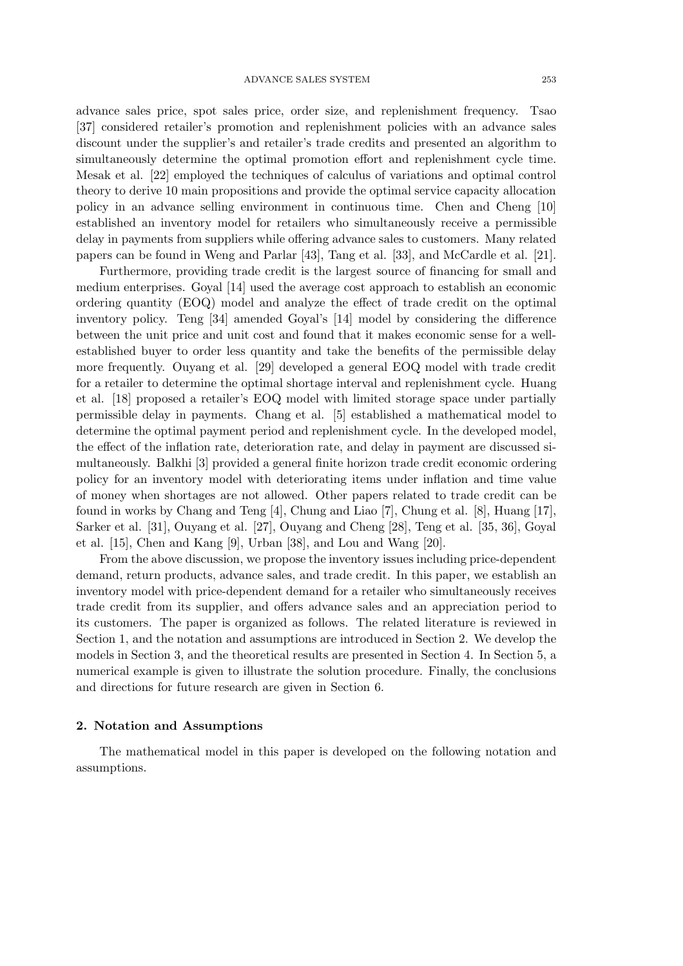advance sales price, spot sales price, order size, and replenishment frequency. Tsao [37] considered retailer's promotion and replenishment policies with an advance sales discount under the supplier's and retailer's trade credits and presented an algorithm to simultaneously determine the optimal promotion effort and replenishment cycle time. Mesak et al. [22] employed the techniques of calculus of variations and optimal control theory to derive 10 main propositions and provide the optimal service capacity allocation policy in an advance selling environment in continuous time. Chen and Cheng [10] established an inventory model for retailers who simultaneously receive a permissible delay in payments from suppliers while offering advance sales to customers. Many related papers can be found in Weng and Parlar [43], Tang et al. [33], and McCardle et al. [21].

Furthermore, providing trade credit is the largest source of financing for small and medium enterprises. Goyal [14] used the average cost approach to establish an economic ordering quantity (EOQ) model and analyze the effect of trade credit on the optimal inventory policy. Teng [34] amended Goyal's [14] model by considering the difference between the unit price and unit cost and found that it makes economic sense for a wellestablished buyer to order less quantity and take the benefits of the permissible delay more frequently. Ouyang et al. [29] developed a general EOQ model with trade credit for a retailer to determine the optimal shortage interval and replenishment cycle. Huang et al. [18] proposed a retailer's EOQ model with limited storage space under partially permissible delay in payments. Chang et al. [5] established a mathematical model to determine the optimal payment period and replenishment cycle. In the developed model, the effect of the inflation rate, deterioration rate, and delay in payment are discussed simultaneously. Balkhi [3] provided a general finite horizon trade credit economic ordering policy for an inventory model with deteriorating items under inflation and time value of money when shortages are not allowed. Other papers related to trade credit can be found in works by Chang and Teng [4], Chung and Liao [7], Chung et al. [8], Huang [17], Sarker et al. [31], Ouyang et al. [27], Ouyang and Cheng [28], Teng et al. [35, 36], Goyal et al. [15], Chen and Kang [9], Urban [38], and Lou and Wang [20].

From the above discussion, we propose the inventory issues including price-dependent demand, return products, advance sales, and trade credit. In this paper, we establish an inventory model with price-dependent demand for a retailer who simultaneously receives trade credit from its supplier, and offers advance sales and an appreciation period to its customers. The paper is organized as follows. The related literature is reviewed in Section 1, and the notation and assumptions are introduced in Section 2. We develop the models in Section 3, and the theoretical results are presented in Section 4. In Section 5, a numerical example is given to illustrate the solution procedure. Finally, the conclusions and directions for future research are given in Section 6.

#### 2. Notation and Assumptions

The mathematical model in this paper is developed on the following notation and assumptions.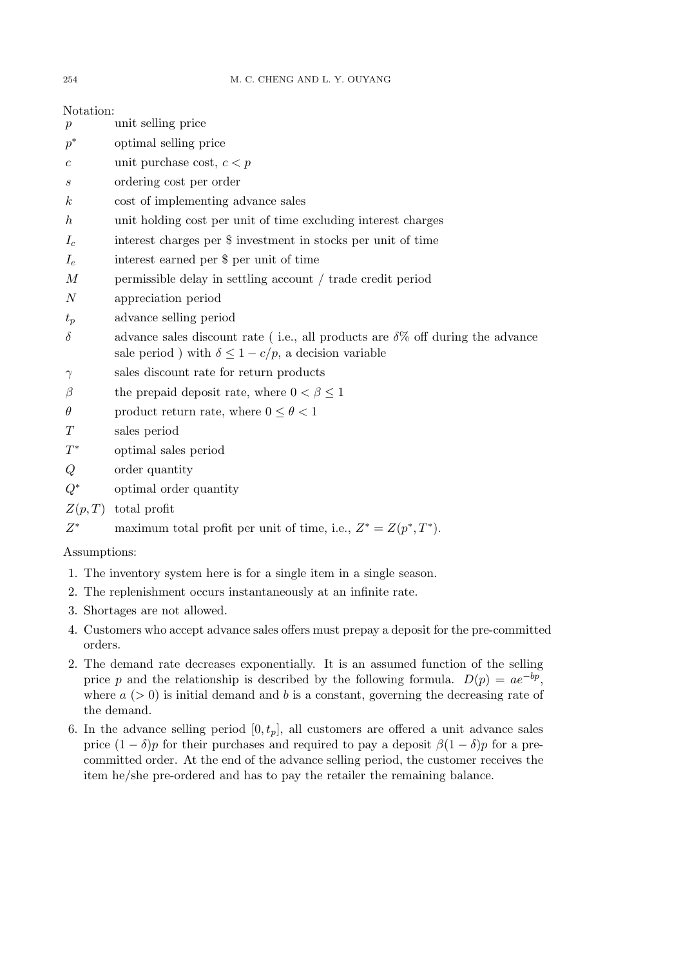| Notation:                                                             |                                                                                                                                                        |
|-----------------------------------------------------------------------|--------------------------------------------------------------------------------------------------------------------------------------------------------|
| $\boldsymbol{p}$                                                      | unit selling price                                                                                                                                     |
| $p^*$                                                                 | optimal selling price                                                                                                                                  |
| $\boldsymbol{c}$                                                      | unit purchase cost, $c < p$                                                                                                                            |
| $\boldsymbol{s}$                                                      | ordering cost per order                                                                                                                                |
| $\boldsymbol{k}$                                                      | cost of implementing advance sales                                                                                                                     |
| $\boldsymbol{h}$                                                      | unit holding cost per unit of time excluding interest charges                                                                                          |
| $I_c$                                                                 | interest charges per \$ investment in stocks per unit of time                                                                                          |
| $I_e$                                                                 | interest earned per \$ per unit of time                                                                                                                |
| $\boldsymbol{M}$                                                      | permissible delay in settling account / trade credit period                                                                                            |
| $\overline{N}$                                                        | appreciation period                                                                                                                                    |
| $t_p$                                                                 | advance selling period                                                                                                                                 |
| $\delta$                                                              | advance sales discount rate (i.e., all products are $\delta\%$ off during the advance<br>sale period ) with $\delta \leq 1 - c/p,$ a decision variable |
| $\gamma$                                                              | sales discount rate for return products                                                                                                                |
| $\beta$                                                               | the prepaid deposit rate, where $0 < \beta \leq 1$                                                                                                     |
| $\theta$                                                              | product return rate, where $0 \le \theta < 1$                                                                                                          |
| $\, T \,$                                                             | sales period                                                                                                                                           |
| $T^*$                                                                 | optimal sales period                                                                                                                                   |
| Q                                                                     | order quantity                                                                                                                                         |
| $Q^*$                                                                 | optimal order quantity                                                                                                                                 |
| Z(p,T)                                                                | total profit                                                                                                                                           |
| $Z^*$                                                                 | maximum total profit per unit of time, i.e., $Z^* = Z(p^*, T^*)$ .                                                                                     |
| Assumptions:                                                          |                                                                                                                                                        |
| 1. The inventory system here is for a single item in a single season. |                                                                                                                                                        |

- 2. The replenishment occurs instantaneously at an infinite rate.
- 3. Shortages are not allowed.
- 4. Customers who accept advance sales offers must prepay a deposit for the pre-committed orders.
- 2. The demand rate decreases exponentially. It is an assumed function of the selling price p and the relationship is described by the following formula.  $D(p) = ae^{-bp}$ , where  $a > 0$  is initial demand and b is a constant, governing the decreasing rate of the demand.
- 6. In the advance selling period  $[0, t_p]$ , all customers are offered a unit advance sales price  $(1 - \delta)p$  for their purchases and required to pay a deposit  $\beta(1 - \delta)p$  for a precommitted order. At the end of the advance selling period, the customer receives the item he/she pre-ordered and has to pay the retailer the remaining balance.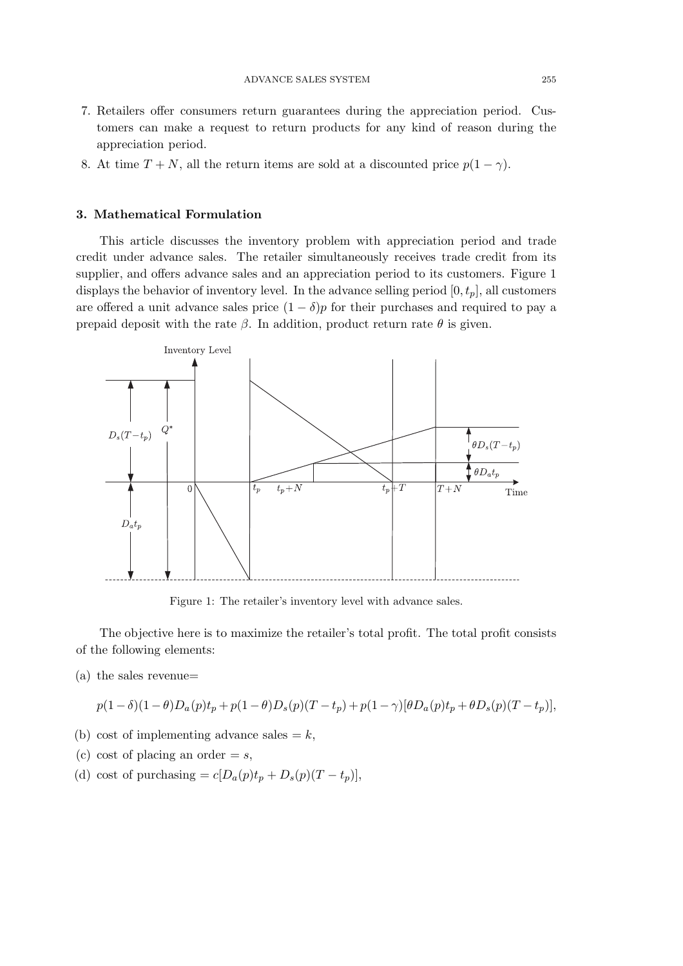- 7. Retailers offer consumers return guarantees during the appreciation period. Customers can make a request to return products for any kind of reason during the appreciation period.
- 8. At time  $T + N$ , all the return items are sold at a discounted price  $p(1 \gamma)$ .

## 3. Mathematical Formulation

This article discusses the inventory problem with appreciation period and trade credit under advance sales. The retailer simultaneously receives trade credit from its supplier, and offers advance sales and an appreciation period to its customers. Figure 1 displays the behavior of inventory level. In the advance selling period  $[0, t_p]$ , all customers are offered a unit advance sales price  $(1 - \delta)p$  for their purchases and required to pay a prepaid deposit with the rate  $\beta$ . In addition, product return rate  $\theta$  is given.



Figure 1: The retailer's inventory level with advance sales.

The objective here is to maximize the retailer's total profit. The total profit consists of the following elements:

(a) the sales revenue=

$$
p(1-\delta)(1-\theta)D_a(p)t_p+p(1-\theta)D_s(p)(T-t_p)+p(1-\gamma)[\theta D_a(p)t_p+\theta D_s(p)(T-t_p)],
$$

- (b) cost of implementing advance sales  $= k$ ,
- (c) cost of placing an order  $= s$ ,
- (d) cost of purchasing =  $c[D_a(p)t_p + D_s(p)(T t_p)],$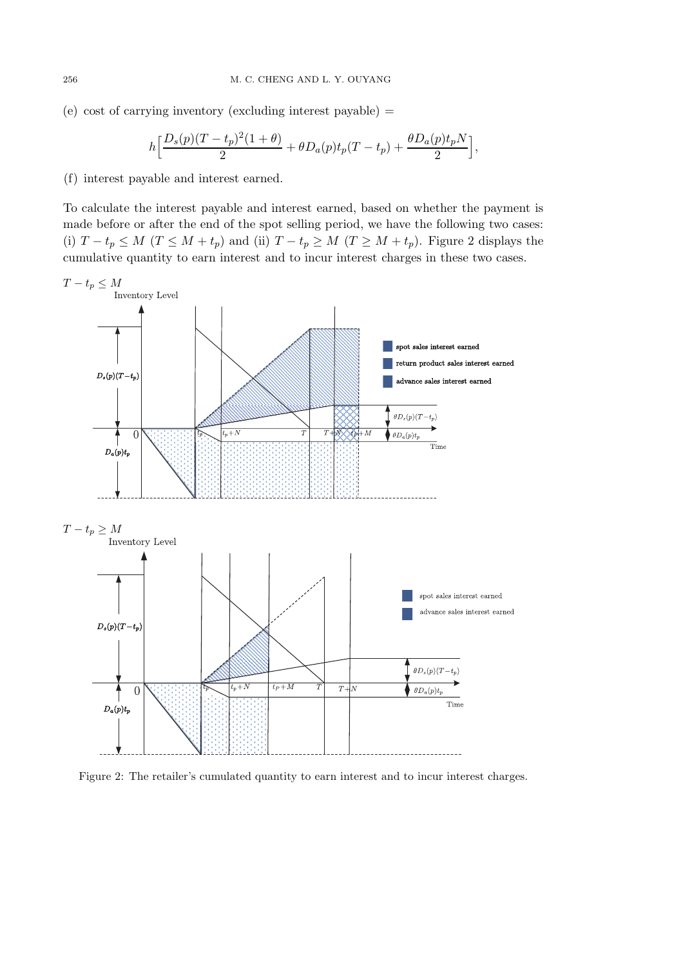(e) cost of carrying inventory (excluding interest payable)  $=$ 

$$
h\Big[\frac{D_s(p)(T-t_p)^2(1+\theta)}{2}+\theta D_a(p)t_p(T-t_p)+\frac{\theta D_a(p)t_pN}{2}\Big],
$$

(f) interest payable and interest earned.

To calculate the interest payable and interest earned, based on whether the payment is made before or after the end of the spot selling period, we have the following two cases: (i)  $T - t_p \leq M$  ( $T \leq M + t_p$ ) and (ii)  $T - t_p \geq M$  ( $T \geq M + t_p$ ). Figure 2 displays the cumulative quantity to earn interest and to incur interest charges in these two cases.



Figure 2: The retailer's cumulated quantity to earn interest and to incur interest charges.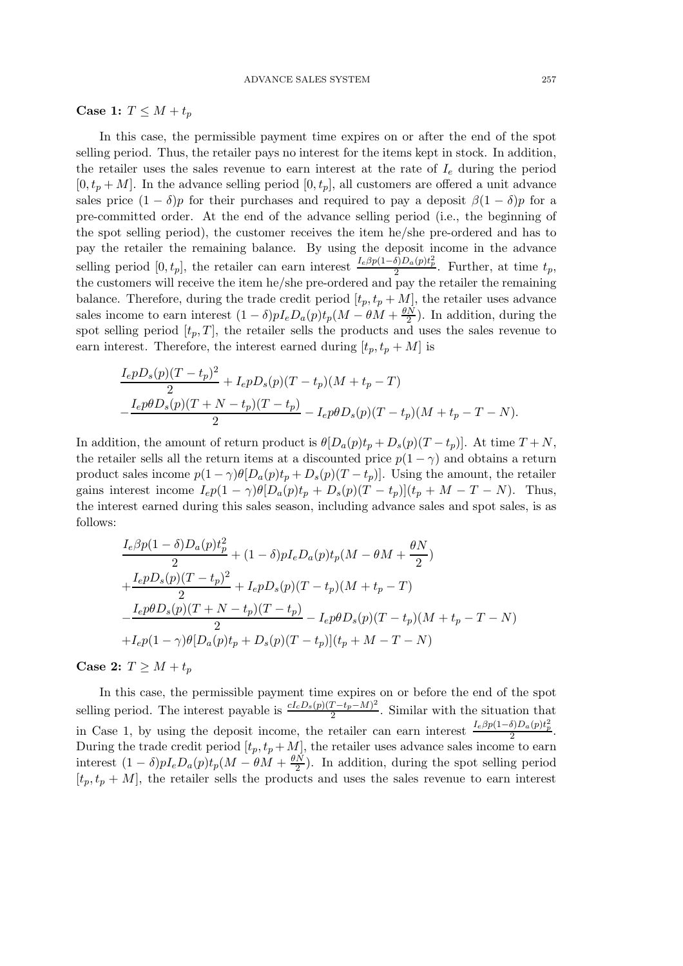Case 1:  $T \leq M + t_p$ 

In this case, the permissible payment time expires on or after the end of the spot selling period. Thus, the retailer pays no interest for the items kept in stock. In addition, the retailer uses the sales revenue to earn interest at the rate of  $I<sub>e</sub>$  during the period  $[0, t_p + M]$ . In the advance selling period  $[0, t_p]$ , all customers are offered a unit advance sales price  $(1 - \delta)p$  for their purchases and required to pay a deposit  $\beta(1 - \delta)p$  for a pre-committed order. At the end of the advance selling period (i.e., the beginning of the spot selling period), the customer receives the item he/she pre-ordered and has to pay the retailer the remaining balance. By using the deposit income in the advance selling period  $[0, t_p]$ , the retailer can earn interest  $I_e \beta p(1-\delta)D_a(p)t_p^2$ . Further, at time  $t_p$ , the customers will receive the item he/she pre-ordered and pay the retailer the remaining balance. Therefore, during the trade credit period  $[t_p, t_p + M]$ , the retailer uses advance sales income to earn interest  $(1 - \delta)pI_eD_a(p)t_p(M - \theta M + \frac{\theta N}{2})$ . In addition, during the spot selling period  $[t_p, T]$ , the retailer sells the products and uses the sales revenue to earn interest. Therefore, the interest earned during  $[t_p, t_p + M]$  is

$$
\frac{I_e p D_s(p)(T - t_p)^2}{2} + I_e p D_s(p)(T - t_p)(M + t_p - T)
$$
  

$$
-\frac{I_e p \theta D_s(p)(T + N - t_p)(T - t_p)}{2} - I_e p \theta D_s(p)(T - t_p)(M + t_p - T - N).
$$

In addition, the amount of return product is  $\theta[D_a(p)t_p + D_s(p)(T-t_p)]$ . At time  $T + N$ , the retailer sells all the return items at a discounted price  $p(1 - \gamma)$  and obtains a return product sales income  $p(1 - \gamma)\theta[D_a(p)t_p + D_s(p)(T - t_p)]$ . Using the amount, the retailer gains interest income  $I_e p(1 - \gamma) \theta [D_a(p)t_p + D_s(p)(T - t_p)](t_p + M - T - N)$ . Thus, the interest earned during this sales season, including advance sales and spot sales, is as follows:

$$
\frac{I_e \beta p (1 - \delta) D_a(p) t_p^2}{2} + (1 - \delta) p I_e D_a(p) t_p (M - \theta M + \frac{\theta N}{2})
$$
  
+ 
$$
\frac{I_e p D_s(p) (T - t_p)^2}{2} + I_e p D_s(p) (T - t_p) (M + t_p - T)
$$
  
- 
$$
\frac{I_e p \theta D_s(p) (T + N - t_p) (T - t_p)}{2} - I_e p \theta D_s(p) (T - t_p) (M + t_p - T - N)
$$
  
+ 
$$
I_e p (1 - \gamma) \theta [D_a(p) t_p + D_s(p) (T - t_p)] (t_p + M - T - N)
$$

Case 2:  $T \geq M + t_p$ 

In this case, the permissible payment time expires on or before the end of the spot selling period. The interest payable is  $\frac{cI_cD_s(p)(T-t_p-M)^2}{2}$  $\frac{1-t_p-M}{2}$ . Similar with the situation that in Case 1, by using the deposit income, the retailer can earn interest  $\frac{I_e\beta p(1-\delta)D_a(p)t_p^2}{2}$ . During the trade credit period  $[t_p, t_p + M]$ , the retailer uses advance sales income to earn interest  $(1 - \delta)pI_eD_a(p)t_p(M - \theta M + \frac{\theta N}{2})$  $\frac{N}{2}$ ). In addition, during the spot selling period  $[t_p, t_p + M]$ , the retailer sells the products and uses the sales revenue to earn interest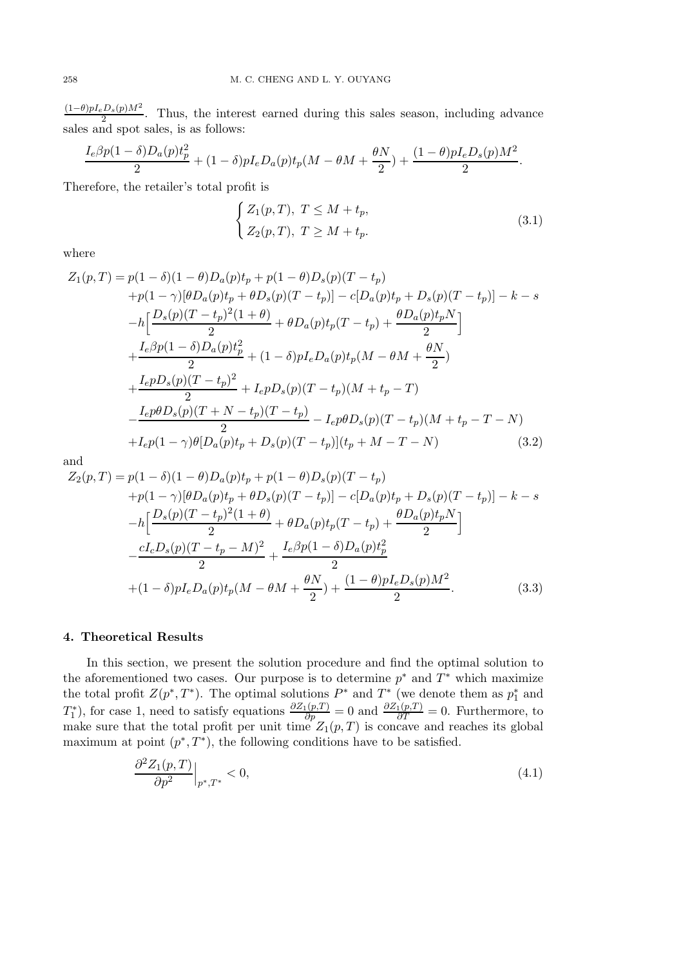$(1-\theta)pI_eD_s(p)M^2$  $\frac{2D_s(p)M}{2}$ . Thus, the interest earned during this sales season, including advance sales and spot sales, is as follows:

$$
\frac{I_e \beta p (1 - \delta) D_a(p) t_p^2}{2} + (1 - \delta) p I_e D_a(p) t_p (M - \theta M + \frac{\theta N}{2}) + \frac{(1 - \theta) p I_e D_s(p) M^2}{2}.
$$

Therefore, the retailer's total profit is

$$
\begin{cases} Z_1(p,T), \ T \leq M + t_p, \\ Z_2(p,T), \ T \geq M + t_p. \end{cases} \tag{3.1}
$$

where

$$
Z_{1}(p,T) = p(1 - \delta)(1 - \theta)D_{a}(p)t_{p} + p(1 - \theta)D_{s}(p)(T - t_{p})
$$
  
+p(1 - \gamma)[\theta D\_{a}(p)t\_{p} + \theta D\_{s}(p)(T - t\_{p})] - c[D\_{a}(p)t\_{p} + D\_{s}(p)(T - t\_{p})] - k - s  
-h\left[\frac{D\_{s}(p)(T - t\_{p})^{2}(1 + \theta)}{2} + \theta D\_{a}(p)t\_{p}(T - t\_{p}) + \frac{\theta D\_{a}(p)t\_{p}N}{2}\right]  
+ \frac{I\_{e}\beta p(1 - \delta)D\_{a}(p)t\_{p}^{2}}{2} + (1 - \delta)pI\_{e}D\_{a}(p)t\_{p}(M - \theta M + \frac{\theta N}{2})  
+ \frac{I\_{e}pD\_{s}(p)(T - t\_{p})^{2}}{2} + I\_{e}pD\_{s}(p)(T - t\_{p})(M + t\_{p} - T)  
- \frac{I\_{e}p\theta D\_{s}(p)(T + N - t\_{p})(T - t\_{p})}{2} - I\_{e}p\theta D\_{s}(p)(T - t\_{p})(M + t\_{p} - T - N)  
+ I\_{e}p(1 - \gamma)\theta[D\_{a}(p)t\_{p} + D\_{s}(p)(T - t\_{p})](t\_{p} + M - T - N) (3.2)

and

$$
Z_2(p,T) = p(1 - \delta)(1 - \theta)D_a(p)t_p + p(1 - \theta)D_s(p)(T - t_p) + p(1 - \gamma)[\theta D_a(p)t_p + \theta D_s(p)(T - t_p)] - c[D_a(p)t_p + D_s(p)(T - t_p)] - k - s - h\left[\frac{D_s(p)(T - t_p)^2(1 + \theta)}{2} + \theta D_a(p)t_p(T - t_p) + \frac{\theta D_a(p)t_pN}{2}\right] - \frac{cI_cD_s(p)(T - t_p - M)^2}{2} + \frac{I_e\beta p(1 - \delta)D_a(p)t_p^2}{2} + (1 - \delta)pI_eD_a(p)t_p(M - \theta M + \frac{\theta N}{2}) + \frac{(1 - \theta)pI_eD_s(p)M^2}{2}.
$$
(3.3)

### 4. Theoretical Results

In this section, we present the solution procedure and find the optimal solution to the aforementioned two cases. Our purpose is to determine  $p^*$  and  $T^*$  which maximize the total profit  $Z(p^*,T^*)$ . The optimal solutions  $P^*$  and  $T^*$  (we denote them as  $p_1^*$  $_1^*$  and  $T_1^*$ <sup>\*\*</sup><sub>1</sub>), for case 1, need to satisfy equations  $\frac{\partial Z_1(p,T)}{\partial p} = 0$  and  $\frac{\partial Z_1(p,T)}{\partial T} = 0$ . Furthermore, to make sure that the total profit per unit time  $Z_1(p,T)$  is concave and reaches its global maximum at point  $(p^*,T^*)$ , the following conditions have to be satisfied.

$$
\left. \frac{\partial^2 Z_1(p,T)}{\partial p^2} \right|_{p^*,T^*} < 0,\tag{4.1}
$$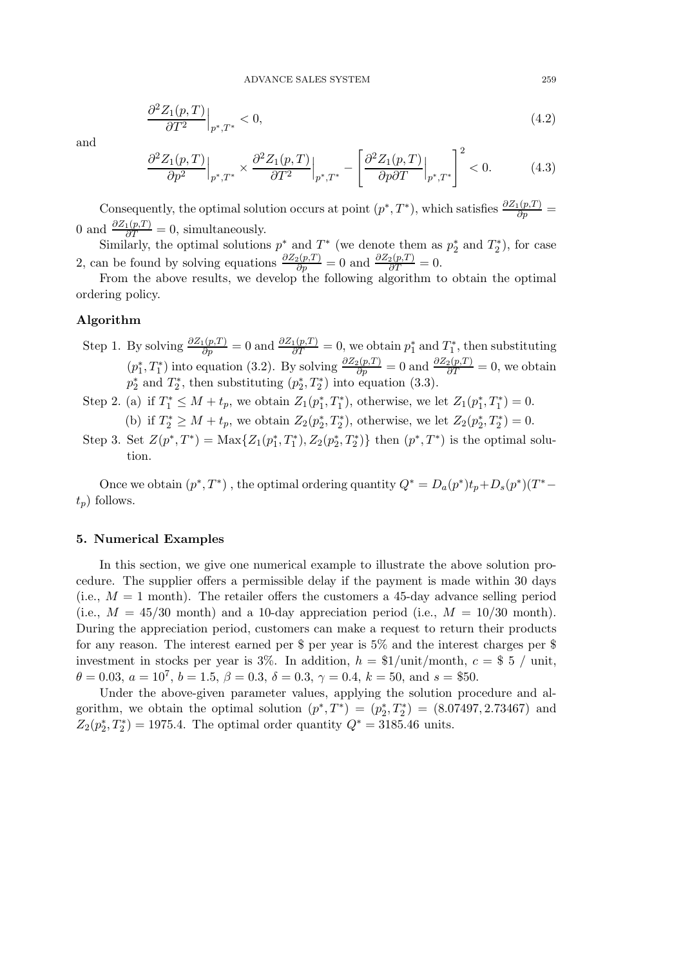$$
\left. \frac{\partial^2 Z_1(p,T)}{\partial T^2} \right|_{p^*,T^*} < 0,\tag{4.2}
$$

and

$$
\frac{\partial^2 Z_1(p,T)}{\partial p^2}\Big|_{p^*,T^*} \times \frac{\partial^2 Z_1(p,T)}{\partial T^2}\Big|_{p^*,T^*} - \left[\frac{\partial^2 Z_1(p,T)}{\partial p \partial T}\Big|_{p^*,T^*}\right]^2 < 0. \tag{4.3}
$$

Consequently, the optimal solution occurs at point  $(p^*,T^*)$ , which satisfies  $\frac{\partial Z_1(p,T)}{\partial p}$  = 0 and  $\frac{\partial Z_1(p,T)}{\partial T} = 0$ , simultaneously.

Similarly, the optimal solutions  $p^*$  and  $T^*$  (we denote them as  $p_2^*$ )  $_2^*$  and  $T_2^*$  $x_2^*$ , for case 2, can be found by solving equations  $\frac{\partial Z_2(p,T)}{\partial p} = 0$  and  $\frac{\partial Z_2(p,T)}{\partial T} = 0$ .

From the above results, we develop the following algorithm to obtain the optimal ordering policy.

## Algorithm

- Step 1. By solving  $\frac{\partial Z_1(p,T)}{\partial p} = 0$  and  $\frac{\partial Z_1(p,T)}{\partial T} = 0$ , we obtain  $p_1^*$  $_1^*$  and  $T_1^*$  $j_1^*$ , then substituting  $(p_1^*$ <sup>\*</sup><sub>1</sub>, T<sup>\*</sup><sub>1</sub>) into equation (3.2). By solving  $\frac{\partial Z_2(p,T)}{\partial p} = 0$  and  $\frac{\partial Z_2(p,T)}{\partial T} = 0$ , we obtain  $p_2^*$  $x_2^*$  and  $T_2^*$  $x_2^*$ , then substituting  $(p_2^*)$  $x_2^*, T_2^*$  into equation (3.3).
- Step 2. (a) if  $T_1^* \leq M + t_p$ , we obtain  $Z_1(p_1^*$  $x_1^*, T_1^*$ ), otherwise, we let  $Z_1(p_1^*)$  $t_1^*, T_1^*) = 0.$ (b) if  $T_2^* \geq M + t_p$ , we obtain  $Z_2(p_2^*$  $x_2^*$ ,  $T_2^*$ ), otherwise, we let  $Z_2(p_2^*$  $x_2^*, T_2^*) = 0.$
- Step 3. Set  $Z(p^*,T^*) = \text{Max}\{Z_1(p_1^*)\}$  $_1^*, T_1^*$ ),  $Z_2(p_2^*)$  $\{x_2^*, T_2^*\}$  then  $(p^*, T^*)$  is the optimal solution.

Once we obtain  $(p^*,T^*)$ , the optimal ordering quantity  $Q^* = D_a(p^*)t_p + D_s(p^*)(T^*$  $t_n$ ) follows.

## 5. Numerical Examples

In this section, we give one numerical example to illustrate the above solution procedure. The supplier offers a permissible delay if the payment is made within 30 days (i.e.,  $M = 1$  month). The retailer offers the customers a 45-day advance selling period (i.e.,  $M = 45/30$  month) and a 10-day appreciation period (i.e.,  $M = 10/30$  month). During the appreciation period, customers can make a request to return their products for any reason. The interest earned per \$ per year is 5% and the interest charges per \$ investment in stocks per year is 3%. In addition,  $h = \frac{1}{\pm i}$  month,  $c = \frac{1}{2}$  / unit,  $\theta = 0.03, a = 10^7, b = 1.5, \beta = 0.3, \delta = 0.3, \gamma = 0.4, k = 50, \text{ and } s = \$50.$ 

Under the above-given parameter values, applying the solution procedure and algorithm, we obtain the optimal solution  $(p^*,T^*) = (p_2^*)$  $\binom{2}{2}, T_2^*$  = (8.07497, 2.73467) and  $\overset{-}{Z_2}(p_2^*)$  $Z_2^*$ ,  $T_2^*$ ) = 1975.4. The optimal order quantity  $Q^* = 3185.46$  units.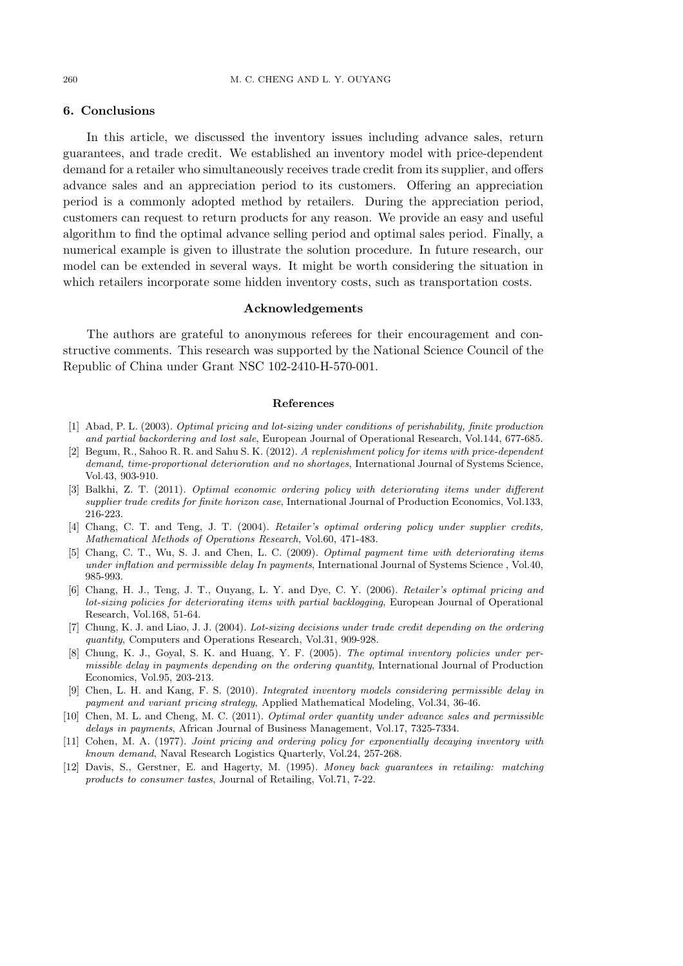# 6. Conclusions

In this article, we discussed the inventory issues including advance sales, return guarantees, and trade credit. We established an inventory model with price-dependent demand for a retailer who simultaneously receives trade credit from its supplier, and offers advance sales and an appreciation period to its customers. Offering an appreciation period is a commonly adopted method by retailers. During the appreciation period, customers can request to return products for any reason. We provide an easy and useful algorithm to find the optimal advance selling period and optimal sales period. Finally, a numerical example is given to illustrate the solution procedure. In future research, our model can be extended in several ways. It might be worth considering the situation in which retailers incorporate some hidden inventory costs, such as transportation costs.

#### Acknowledgements

The authors are grateful to anonymous referees for their encouragement and constructive comments. This research was supported by the National Science Council of the Republic of China under Grant NSC 102-2410-H-570-001.

#### References

- [1] Abad, P. L. (2003). Optimal pricing and lot-sizing under conditions of perishability, finite production and partial backordering and lost sale, European Journal of Operational Research, Vol.144, 677-685.
- [2] Begum, R., Sahoo R. R. and Sahu S. K. (2012). A replenishment policy for items with price-dependent demand, time-proportional deterioration and no shortages. International Journal of Systems Science, Vol.43, 903-910.
- [3] Balkhi, Z. T. (2011). Optimal economic ordering policy with deteriorating items under different supplier trade credits for finite horizon case, International Journal of Production Economics, Vol.133, 216-223.
- [4] Chang, C. T. and Teng, J. T. (2004). Retailer's optimal ordering policy under supplier credits, Mathematical Methods of Operations Research, Vol.60, 471-483.
- [5] Chang, C. T., Wu, S. J. and Chen, L. C. (2009). Optimal payment time with deteriorating items under inflation and permissible delay In payments, International Journal of Systems Science , Vol.40, 985-993.
- [6] Chang, H. J., Teng, J. T., Ouyang, L. Y. and Dye, C. Y. (2006). Retailer's optimal pricing and lot-sizing policies for deteriorating items with partial backlogging, European Journal of Operational Research, Vol.168, 51-64.
- [7] Chung, K. J. and Liao, J. J. (2004). Lot-sizing decisions under trade credit depending on the ordering quantity, Computers and Operations Research, Vol.31, 909-928.
- [8] Chung, K. J., Goyal, S. K. and Huang, Y. F. (2005). The optimal inventory policies under permissible delay in payments depending on the ordering quantity, International Journal of Production Economics, Vol.95, 203-213.
- [9] Chen, L. H. and Kang, F. S. (2010). Integrated inventory models considering permissible delay in payment and variant pricing strategy, Applied Mathematical Modeling, Vol.34, 36-46.
- [10] Chen, M. L. and Cheng, M. C. (2011). Optimal order quantity under advance sales and permissible delays in payments, African Journal of Business Management, Vol.17, 7325-7334.
- [11] Cohen, M. A. (1977). Joint pricing and ordering policy for exponentially decaying inventory with known demand, Naval Research Logistics Quarterly, Vol.24, 257-268.
- [12] Davis, S., Gerstner, E. and Hagerty, M. (1995). Money back guarantees in retailing: matching products to consumer tastes, Journal of Retailing, Vol.71, 7-22.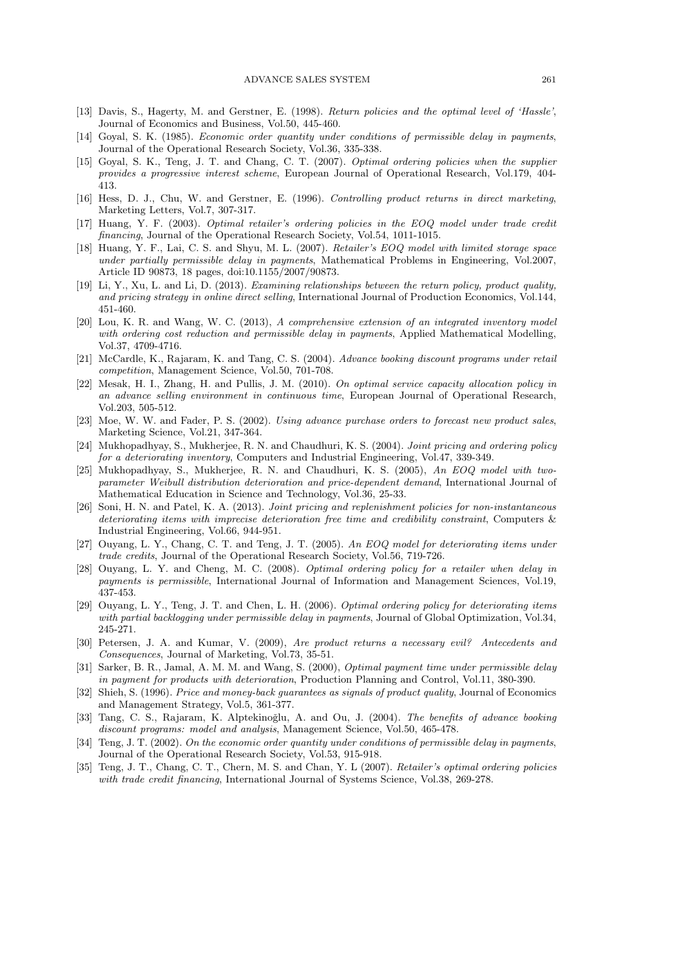- [13] Davis, S., Hagerty, M. and Gerstner, E. (1998). Return policies and the optimal level of 'Hassle', Journal of Economics and Business, Vol.50, 445-460.
- [14] Goyal, S. K. (1985). *Economic order quantity under conditions of permissible delay in payments*, Journal of the Operational Research Society, Vol.36, 335-338.
- [15] Goyal, S. K., Teng, J. T. and Chang, C. T. (2007). Optimal ordering policies when the supplier provides a progressive interest scheme, European Journal of Operational Research, Vol.179, 404- 413.
- [16] Hess, D. J., Chu, W. and Gerstner, E. (1996). Controlling product returns in direct marketing, Marketing Letters, Vol.7, 307-317.
- [17] Huang, Y. F. (2003). Optimal retailer's ordering policies in the EOQ model under trade credit financing, Journal of the Operational Research Society, Vol.54, 1011-1015.
- [18] Huang, Y. F., Lai, C. S. and Shyu, M. L. (2007). Retailer's EOQ model with limited storage space under partially permissible delay in payments, Mathematical Problems in Engineering, Vol.2007, Article ID 90873, 18 pages, doi:10.1155/2007/90873.
- [19] Li, Y., Xu, L. and Li, D. (2013). Examining relationships between the return policy, product quality, and pricing strategy in online direct selling, International Journal of Production Economics, Vol.144, 451-460.
- [20] Lou, K. R. and Wang, W. C. (2013), A comprehensive extension of an integrated inventory model with ordering cost reduction and permissible delay in payments, Applied Mathematical Modelling, Vol.37, 4709-4716.
- [21] McCardle, K., Rajaram, K. and Tang, C. S. (2004). Advance booking discount programs under retail competition, Management Science, Vol.50, 701-708.
- [22] Mesak, H. I., Zhang, H. and Pullis, J. M. (2010). On optimal service capacity allocation policy in an advance selling environment in continuous time, European Journal of Operational Research, Vol.203, 505-512.
- [23] Moe, W. W. and Fader, P. S. (2002). Using advance purchase orders to forecast new product sales, Marketing Science, Vol.21, 347-364.
- [24] Mukhopadhyay, S., Mukherjee, R. N. and Chaudhuri, K. S. (2004). Joint pricing and ordering policy for a deteriorating inventory, Computers and Industrial Engineering, Vol.47, 339-349.
- [25] Mukhopadhyay, S., Mukherjee, R. N. and Chaudhuri, K. S. (2005), An EOQ model with twoparameter Weibull distribution deterioration and price-dependent demand, International Journal of Mathematical Education in Science and Technology, Vol.36, 25-33.
- [26] Soni, H. N. and Patel, K. A. (2013). Joint pricing and replenishment policies for non-instantaneous deteriorating items with imprecise deterioration free time and credibility constraint, Computers & Industrial Engineering, Vol.66, 944-951.
- [27] Ouyang, L. Y., Chang, C. T. and Teng, J. T. (2005). An EOQ model for deteriorating items under trade credits, Journal of the Operational Research Society, Vol.56, 719-726.
- [28] Ouyang, L. Y. and Cheng, M. C. (2008). Optimal ordering policy for a retailer when delay in payments is permissible, International Journal of Information and Management Sciences, Vol.19, 437-453.
- [29] Ouyang, L. Y., Teng, J. T. and Chen, L. H. (2006). Optimal ordering policy for deteriorating items with partial backlogging under permissible delay in payments, Journal of Global Optimization, Vol.34, 245-271.
- [30] Petersen, J. A. and Kumar, V. (2009), Are product returns a necessary evil? Antecedents and Consequences, Journal of Marketing, Vol.73, 35-51.
- [31] Sarker, B. R., Jamal, A. M. M. and Wang, S. (2000), *Optimal payment time under permissible delay* in payment for products with deterioration, Production Planning and Control, Vol.11, 380-390.
- [32] Shieh, S. (1996). Price and money-back quarantees as signals of product quality, Journal of Economics and Management Strategy, Vol.5, 361-377.
- [33] Tang, C. S., Rajaram, K. Alptekinoğlu, A. and Ou, J. (2004). The benefits of advance booking discount programs: model and analysis, Management Science, Vol.50, 465-478.
- [34] Teng, J. T. (2002). On the economic order quantity under conditions of permissible delay in payments, Journal of the Operational Research Society, Vol.53, 915-918.
- [35] Teng, J. T., Chang, C. T., Chern, M. S. and Chan, Y. L (2007). Retailer's optimal ordering policies with trade credit financing, International Journal of Systems Science, Vol.38, 269-278.